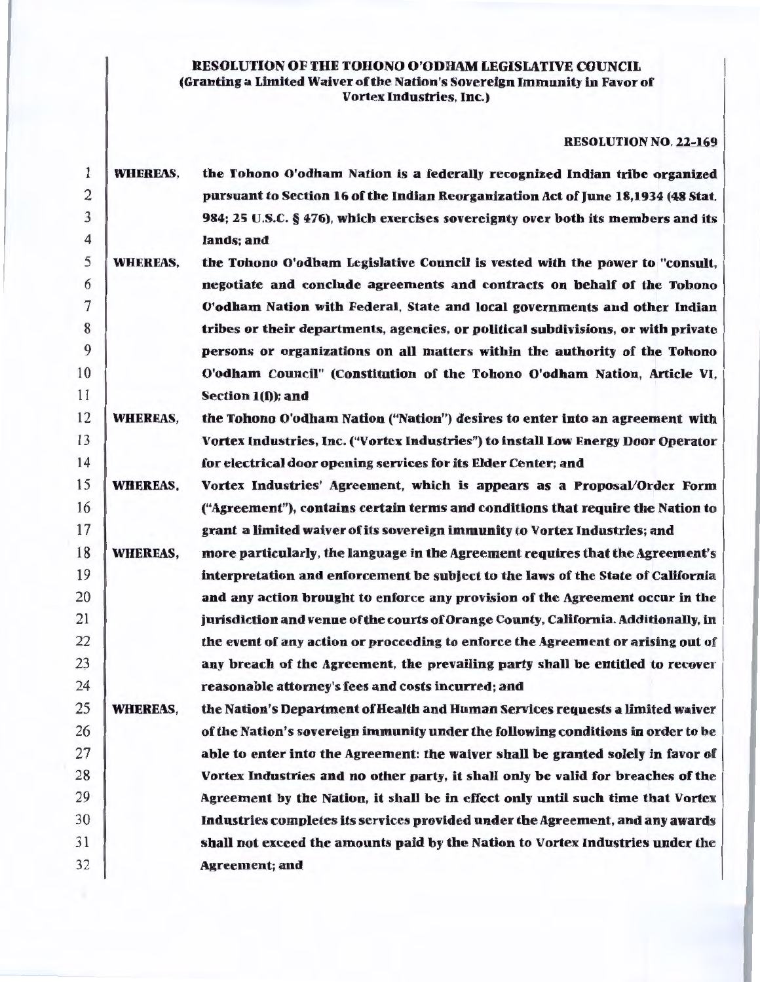# RESOLUTION OF THE TOHONO O'ODHAM LEGISLATIVE COUNCIL (Granting a Limited Waiver of the Nation's Sovereign Immunity in Favor of Vortex Industries, Inc.)

# RESOLUTION NO. 22-169

| $\mathbf{1}$   | <b>WHEREAS,</b> | the Tohono O'odham Nation is a federally recognized Indian tribe organized          |
|----------------|-----------------|-------------------------------------------------------------------------------------|
| $\overline{2}$ |                 | pursuant to Section 16 of the Indian Reorganization Act of June 18,1934 (48 Stat.   |
| 3              |                 | 984; 25 U.S.C. § 476), which exercises sovereignty over both its members and its    |
| 4              |                 | lands; and                                                                          |
| 5              | <b>WHEREAS,</b> | the Tohono O'odham Legislative Council is vested with the power to "consult,        |
| 6              |                 | negotiate and conclude agreements and contracts on behalf of the Tobono             |
| $\overline{7}$ |                 | O'odham Nation with Federal, State and local governments and other Indian           |
| 8              |                 | tribes or their departments, agencies, or political subdivisions, or with private   |
| 9              |                 | persons or organizations on all matters within the authority of the Tohono          |
| 10             |                 | O'odham Council" (Constitution of the Tohono O'odham Nation, Article VI,            |
| 11             |                 | Section $1(f)$ ; and                                                                |
| 12             | <b>WHEREAS,</b> | the Tohono O'odham Nation ("Nation") desires to enter into an agreement with        |
| 13             |                 | Vortex Industries, Inc. ("Vortex Industries") to install Low Energy Door Operator   |
| 14             |                 | for electrical door opening services for its Elder Center; and                      |
| 15             | <b>WHEREAS,</b> | Vortex Industries' Agreement, which is appears as a Proposal/Order Form             |
| 16             |                 | ("Agreement"), contains certain terms and conditions that require the Nation to     |
| 17             |                 | grant a limited waiver of its sovereign immunity to Vortex Industries; and          |
| 18             | <b>WHEREAS,</b> | more particularly, the language in the Agreement requires that the Agreement's      |
| 19             |                 | interpretation and enforcement be subject to the laws of the State of California    |
| 20             |                 | and any action brought to enforce any provision of the Agreement occur in the       |
| 21             |                 | jurisdiction and venue of the courts of Orange County, California. Additionally, in |
| 22             |                 | the event of any action or proceeding to enforce the Agreement or arising out of    |
| 23             |                 | any breach of the Agreement, the prevailing party shall be entitled to recover      |
| 24             |                 | reasonable attorney's fees and costs incurred; and                                  |
| 25             | <b>WHEREAS,</b> | the Nation's Department of Health and Human Services requests a limited waiver      |
| 26             |                 | of the Nation's sovereign immunity under the following conditions in order to be    |
| 27             |                 | able to enter into the Agreement: the waiver shall be granted solely in favor of    |
| 28             |                 | Vortex Industries and no other party, it shall only be valid for breaches of the    |
| 29             |                 | Agreement by the Nation, it shall be in effect only until such time that Vortex     |
| 30             |                 | Industries completes its services provided under the Agreement, and any awards      |
| 31             |                 | shall not exceed the amounts paid by the Nation to Vortex Industries under the      |
| 32             |                 | <b>Agreement</b> ; and                                                              |
|                |                 |                                                                                     |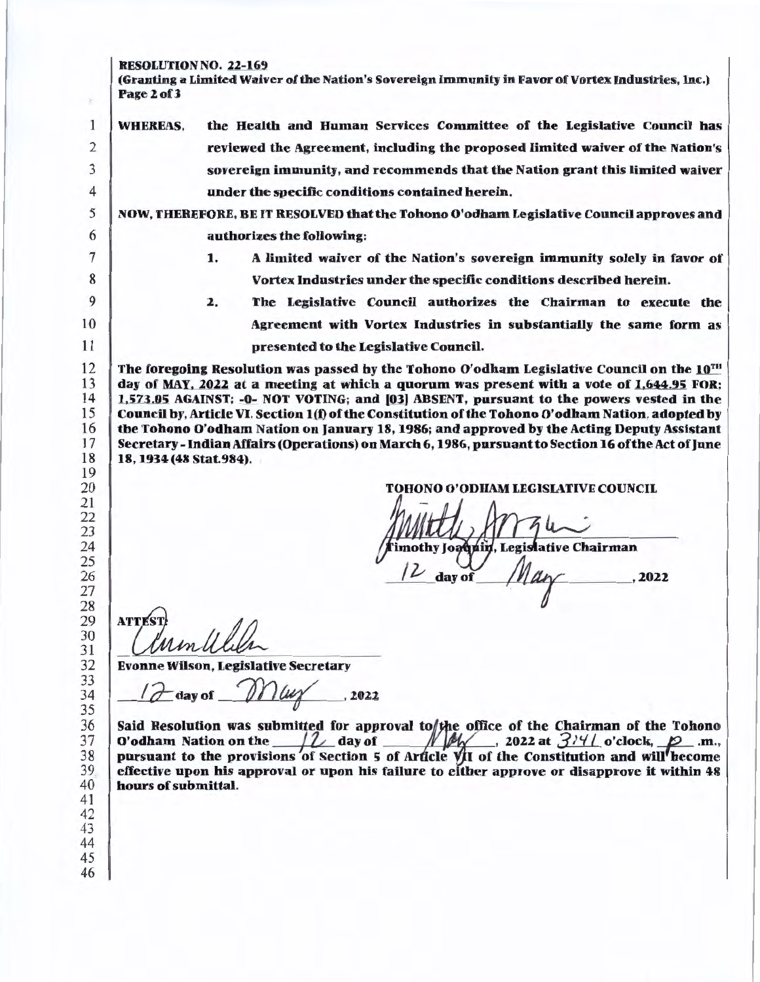### RESOLUTION NO. 22-169

(Granting a Limited Waiver of the Nation's Sovereign Immunity in Favor of Vortex Industries, Inc.) Page2of3

WHEREAS, the Health and Human Services Committee of the Legislative Council has reviewed the Agreement, including the proposed limited waiver of the Nation's sovereign immunity, and recommends that the Nation grant this limited waiver under the specific conditions contained herein.

# 5 NOW, THEREFORE, BE IT RESOLVED that the Tohono O'odham Legislative Council approves and 6 authorizes the following:

- 1. A limited waiver of the Nation's sovereign immunity solely in favor or Vortex Industries under the specific conditions described herein.
- 2. The Legislative Council authorizes the Chairman to execute the Agreement with Vortex Industries in substantially the same form as presented to the Legislative Council.

The foregoing Resolution was passed by the Tohono O'odham Legislative Council on the  $10^{\text{m}}$ day of MAY, 2022 at a meeting at which a quorum was present with a vote of 1,644.95 FOR; 1,573.05 AGAINST; -0- NOT VOTING; and [03] ABSENT, pursuant to the powers vested in the Council by, Article VI, Section l(t) of the Constitution of the Tohono O'odham Nation, adopted by the Tohono O'odham Nation on January 18, 1986; and approved by the Acting Deputy Assistant Secretary - Indian Affairs (Operations) on March 6, 1986, pursuant to Section 16 of the Act of June 18, 1934 (48 Stat.984).

TORONO O'ODHAM LEGISLATIVE COUNCIL

2022

'imothy Joaqnin, Legislative Chairman

day of

28 29 30

**ATTEST** 

2 3 4

1

S.

31 32

Evonne Wilson, Legislative Secretary

 $12$  day of  $N\mu\gamma$ , 2022

Said Resolution was submitted for approval to the office of the Chairman of the Tohono O'odham Nation on the  $\frac{1}{2}$  day of  $\frac{M}{2}$ , 2022 at  $\frac{3}{11}$  o'clock,  $\frac{1}{2}$  .m., O'odham Nation on the  $\mu_{\text{A}}$  day of  $\mu_{\text{A}}$ , 2022 at  $\frac{374}{\mu}$  o'clock,  $p_{\text{A}}$  .m., pursuant to the provisions of Section 5 of Article VII of the Constitution and will hecome effective upon his approval or upon his failure to either approve or disapprove it within 48 hours of submittal.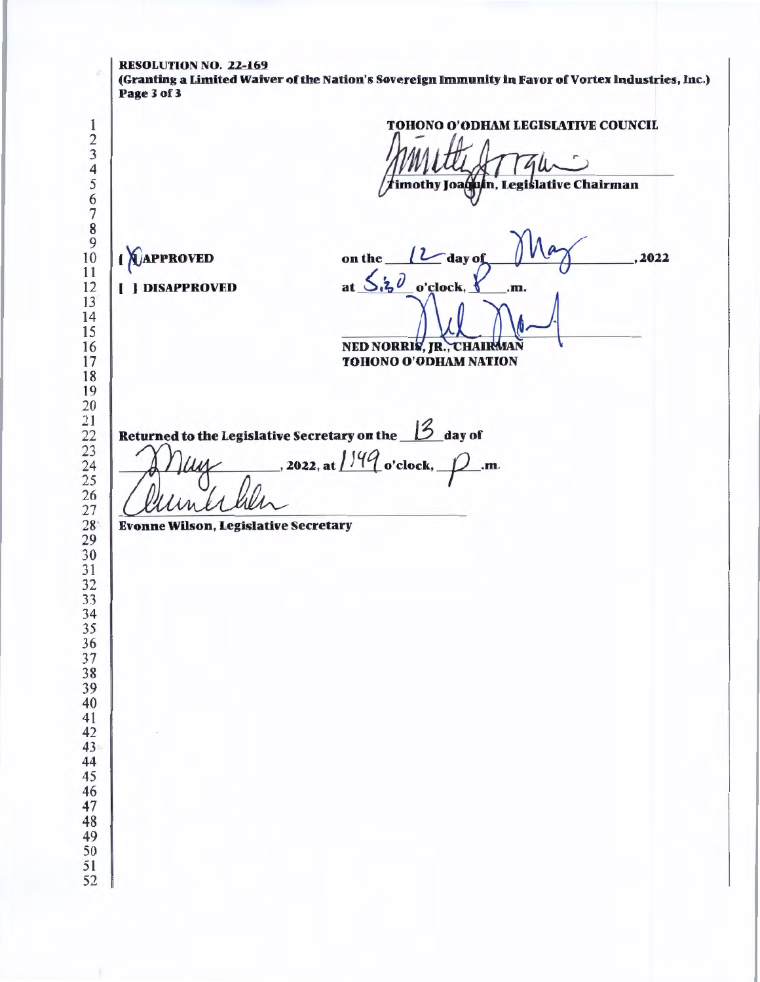RESOLUTION NO. 22-169 (Granting a Limited Waiver of the Nation's Sovereign Immunity in Favor of Vortex Industries, Inc.) Page 3 of 3 TOHONO O'ODHAM LEGISLATIVE COUNCIL imothy Joaquín, Legislative Chairman **( NAPPROVED** '2 on the , 2022 day of  $5.50$  [ ] DISAPPROVED  $at$ o'clock. .m. NED NORRIS, JR., CHAIRMAN TOHONO O'ODHAM NATION Returned to the Legislative Secretary on the *13* day of 2022, at  $1\frac{149}{\sigma \cdot \text{clock}}$ ,  $\mathcal{D}$ .m. rls Evonne Wilson, Legislative Secretary